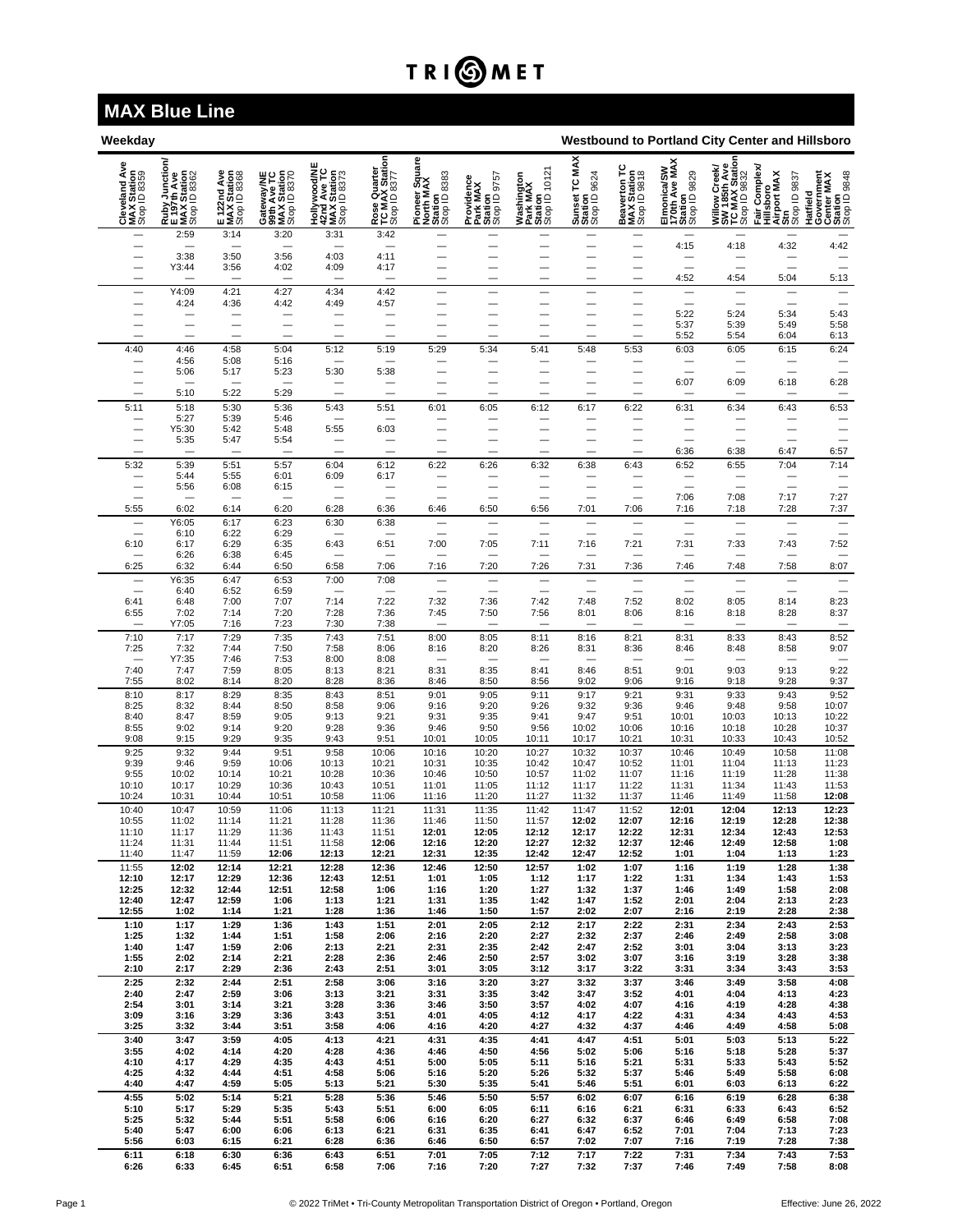## TRI**OMET**

## **MAX Blue Line**

| Weekday<br>Westbound to Portland City Center and Hillsboro |                                                                                                 |                                            |                                                          |                                                            |                                                |                                                        |                                                   |                                                    |                                                |                                                      |                                                         |                                                                                         |                                                                     |                                                                 |
|------------------------------------------------------------|-------------------------------------------------------------------------------------------------|--------------------------------------------|----------------------------------------------------------|------------------------------------------------------------|------------------------------------------------|--------------------------------------------------------|---------------------------------------------------|----------------------------------------------------|------------------------------------------------|------------------------------------------------------|---------------------------------------------------------|-----------------------------------------------------------------------------------------|---------------------------------------------------------------------|-----------------------------------------------------------------|
| Ave<br>Cleveland Av<br>MAX Station<br>Stop ID 8359         | ction<br>y Junctio<br>Tth Ave<br>( Station<br><sup>1</sup> D 8362<br><b>HUAN</b><br><b>ELAX</b> | E 122nd Ave<br>MAX Station<br>Stop ID 8368 | Gateway/NE<br>99th Ave TC<br>MAX Station<br>Stop ID 8370 | Hollywood/NE<br>42nd Ave TC<br>MAX Station<br>Stop ID 8373 | Rose Quarter<br>TC MAX Station<br>Stop ID 8377 | Pioneer Square<br>North MAX<br>Station<br>Stop ID 8383 | Providence<br>Park MAX<br>Station<br>Stop ID 9757 | Washington<br>Park MAX<br>Station<br>Stop ID 10121 | MAX<br>Sunset TC MJ<br>Station<br>Stop ID 9624 | Beaverton TC<br>MAX Station<br>Stop ID 9818          | Elmonica/SW<br>170th Ave MAX<br>Station<br>Stop ID 9829 | h Ave<br>Station<br>Creek<br>9832<br>Willow Cre<br>SW 185th<br>TC MAX SI<br>Stop ID 983 | Complex<br>Hillsboro<br>Airport MAX<br>Strp<br>Stop ID 9837<br>Fair | Hatfield<br>Government<br>Center MAX<br>Station<br>Stop ID 9848 |
|                                                            | 2:59                                                                                            | 3:14                                       | 3:20                                                     | 3:31                                                       | 3:42                                           |                                                        |                                                   |                                                    |                                                | —                                                    | 4:15                                                    | 4:18                                                                                    | 4:32                                                                | 4:42                                                            |
|                                                            | 3:38<br>Y3:44                                                                                   | 3:50<br>3:56                               | 3:56<br>4:02                                             | 4:03<br>4:09                                               | 4:11<br>4:17                                   | —                                                      | $\overline{\phantom{0}}$                          |                                                    | $\overline{\phantom{0}}$                       | —                                                    | $\overline{\phantom{0}}$                                |                                                                                         | $\overline{\phantom{0}}$                                            |                                                                 |
|                                                            |                                                                                                 |                                            |                                                          |                                                            |                                                | $\overline{\phantom{0}}$                               |                                                   |                                                    |                                                | —                                                    | 4:52                                                    | 4:54                                                                                    | 5:04                                                                | 5:13                                                            |
| $\overline{\phantom{0}}$                                   | Y4:09<br>4:24                                                                                   | 4:21<br>4:36                               | 4:27<br>4:42                                             | 4:34<br>4:49                                               | 4:42<br>4:57                                   | —                                                      | —                                                 | $\overline{\phantom{0}}$                           | $\overline{\phantom{0}}$                       | $\qquad \qquad -$                                    | $\overline{\phantom{0}}$                                | $\overline{\phantom{0}}$                                                                | $\overline{\phantom{0}}$                                            | $\overline{\phantom{0}}$                                        |
|                                                            | $\overline{\phantom{0}}$                                                                        |                                            | -                                                        | -                                                          | —                                              | -                                                      | -                                                 |                                                    |                                                | -<br>—                                               | 5:22<br>5:37<br>5:52                                    | 5:24<br>5:39<br>5:54                                                                    | 5:34<br>5:49<br>6:04                                                | 5:43<br>5:58<br>6:13                                            |
| 4:40                                                       | 4:46<br>4:56                                                                                    | 4:58<br>5:08                               | 5:04<br>5:16                                             | 5:12<br>$\overline{\phantom{0}}$                           | 5:19<br>$\overline{\phantom{0}}$               | 5:29                                                   | 5:34<br>-                                         | 5:41                                               | 5:48                                           | 5:53<br>—                                            | 6:03                                                    | 6:05                                                                                    | 6:15<br>-                                                           | 6:24<br>$\overline{\phantom{0}}$                                |
|                                                            | 5:06                                                                                            | 5:17                                       | 5:23                                                     | 5:30                                                       | 5:38                                           |                                                        |                                                   |                                                    |                                                |                                                      | —                                                       | —                                                                                       |                                                                     |                                                                 |
|                                                            | 5:10                                                                                            | 5:22                                       | 5:29                                                     | —                                                          |                                                |                                                        | $\qquad \qquad$                                   |                                                    |                                                |                                                      | 6:07                                                    | 6:09                                                                                    | 6:18                                                                | 6:28<br>$\qquad \qquad$                                         |
| 5:11                                                       | 5:18<br>5:27                                                                                    | 5:30<br>5:39                               | 5:36<br>5:46                                             | 5:43                                                       | 5:51                                           | 6:01                                                   | 6:05                                              | 6:12                                               | 6:17                                           | 6:22                                                 | 6:31                                                    | 6:34                                                                                    | 6:43                                                                | 6:53                                                            |
| -                                                          | Y5:30<br>5:35                                                                                   | 5:42<br>5:47                               | 5:48<br>5:54                                             | 5:55                                                       | 6:03<br>$\qquad \qquad \longleftarrow$         | -                                                      | —                                                 |                                                    | $\overline{\phantom{0}}$                       | —                                                    | —                                                       | $\overline{\phantom{0}}$                                                                |                                                                     | —<br>$\overline{\phantom{0}}$                                   |
|                                                            |                                                                                                 | $\overline{\phantom{0}}$                   |                                                          | $\equiv$<br>$\overline{\phantom{0}}$                       | $\overline{\phantom{0}}$                       | $\overline{\phantom{0}}$                               | $\overline{\phantom{0}}$                          | $\overline{\phantom{0}}$                           |                                                | $\overline{\phantom{0}}$                             | 6:36                                                    | 6:38                                                                                    | 6:47                                                                | 6:57                                                            |
| 5:32                                                       | 5:39<br>5:44                                                                                    | 5:51<br>5:55                               | 5:57<br>6:01                                             | 6:04<br>6:09                                               | 6:12<br>6:17                                   | 6:22                                                   | 6:26                                              | 6:32                                               | 6:38                                           | 6:43                                                 | 6:52                                                    | 6:55                                                                                    | 7:04                                                                | 7:14                                                            |
| $\overline{\phantom{0}}$                                   | 5:56                                                                                            | 6:08                                       | 6:15                                                     | $\qquad \qquad$                                            | $\overline{\phantom{0}}$                       |                                                        | $\overline{\phantom{0}}$                          | $\overline{\phantom{0}}$                           |                                                | $\overline{\phantom{0}}$<br>-                        | $\overline{\phantom{0}}$<br>7:06                        | $\equiv$<br>7:08                                                                        | $\overline{\phantom{0}}$<br>7:17                                    | $\overline{\phantom{a}}$<br>7:27                                |
| 5:55                                                       | 6:02                                                                                            | 6:14                                       | 6:20                                                     | 6:28                                                       | 6:36                                           | 6:46                                                   | 6:50                                              | 6:56                                               | 7:01                                           | 7:06                                                 | 7:16                                                    | 7:18                                                                                    | 7:28                                                                | 7:37                                                            |
|                                                            | Y6:05<br>6:10                                                                                   | 6:17<br>6:22                               | 6:23<br>6:29                                             | 6:30                                                       | 6:38                                           |                                                        | $\overline{\phantom{0}}$                          | -                                                  |                                                |                                                      |                                                         |                                                                                         |                                                                     | $\qquad \qquad$                                                 |
| 6:10                                                       | 6:17<br>6:26                                                                                    | 6:29<br>6:38                               | 6:35<br>6:45                                             | 6:43                                                       | 6:51                                           | 7:00                                                   | 7:05                                              | 7:11                                               | 7:16                                           | 7:21                                                 | 7:31                                                    | 7:33                                                                                    | 7:43                                                                | 7:52                                                            |
| 6:25                                                       | 6:32                                                                                            | 6:44                                       | 6:50                                                     | 6:58                                                       | 7:06                                           | 7:16                                                   | 7:20                                              | 7:26                                               | 7:31                                           | 7:36                                                 | 7:46                                                    | 7:48                                                                                    | 7:58                                                                | 8:07                                                            |
| $\overline{\phantom{0}}$                                   | Y6:35<br>6:40                                                                                   | 6:47<br>6:52                               | 6:53<br>6:59                                             | 7:00                                                       | 7:08                                           |                                                        | $\overline{\phantom{0}}$                          |                                                    |                                                | $\overline{\phantom{0}}$<br>$\overline{\phantom{0}}$ |                                                         |                                                                                         |                                                                     |                                                                 |
| 6:41<br>6:55                                               | 6:48<br>7:02                                                                                    | 7:00<br>7:14                               | 7:07<br>7:20                                             | 7:14<br>7:28                                               | 7:22<br>7:36                                   | 7:32<br>7:45                                           | 7:36<br>7:50                                      | 7:42<br>7:56                                       | 7:48<br>8:01                                   | 7:52<br>8:06                                         | 8:02<br>8:16                                            | 8:05<br>8:18                                                                            | 8:14<br>8:28                                                        | 8:23<br>8:37                                                    |
| $\overline{\phantom{0}}$<br>7:10                           | Y7:05<br>7:17                                                                                   | 7:16<br>7:29                               | 7:23<br>7:35                                             | 7:30<br>7:43                                               | 7:38<br>7:51                                   | $\overline{\phantom{0}}$<br>8:00                       | 8:05                                              | 8:11                                               | 8:16                                           | 8:21                                                 | 8:31                                                    | $\overline{\phantom{0}}$<br>8:33                                                        | $\overline{\phantom{0}}$<br>8:43                                    | $\qquad \qquad$                                                 |
| 7:25                                                       | 7:32                                                                                            | 7:44                                       | 7:50                                                     | 7:58                                                       | 8:06                                           | 8:16                                                   | 8:20                                              | 8:26                                               | 8:31                                           | 8:36                                                 | 8:46                                                    | 8:48                                                                                    | 8:58                                                                | $8:52$<br>$9:07$                                                |
| $\overline{\phantom{0}}$<br>7:40                           | Y7:35<br>7:47                                                                                   | 7:46<br>7:59                               | 7:53<br>8:05                                             | 8:00<br>8:13                                               | 8:08<br>8:21                                   | 8:31                                                   | $\overline{\phantom{0}}$<br>8:35                  | 8:41                                               | 8:46                                           | $\overline{\phantom{0}}$<br>8:51                     | 9:01                                                    | 9:03                                                                                    | 9:13                                                                | $\overline{\phantom{0}}$<br>9:22                                |
| 7:55<br>8:10                                               | 8:02<br>8:17                                                                                    | 8:14<br>8:29                               | 8:20<br>8:35                                             | 8:28<br>8:43                                               | 8:36<br>8:51                                   | 8:46<br>9:01                                           | 8:50<br>9:05                                      | 8:56<br>9:11                                       | 9:02<br>9:17                                   | 9:06<br>9:21                                         | 9:16<br>9:31                                            | 9:18<br>9:33                                                                            | 9:28<br>9:43                                                        | 9:37<br>9:52                                                    |
| 8:25                                                       | 8:32                                                                                            | 8:44                                       | 8:50                                                     | 8:58                                                       | 9:06                                           | 9:16                                                   | 9:20                                              | 9:26                                               | 9:32                                           | 9:36                                                 | 9:46                                                    | 9:48                                                                                    | 9:58                                                                | 10:07                                                           |
| 8:40<br>8:55                                               | 8:47<br>9:02                                                                                    | 8:59<br>9:14                               | 9:05<br>9:20                                             | 9:13<br>9:28                                               | 9:21<br>9:36                                   | 9:31<br>9:46                                           | 9:35<br>9:50                                      | 9:41<br>9:56                                       | 9:47<br>10:02                                  | 9:51<br>10:06                                        | 10:01<br>10:16                                          | 10:03<br>10:18                                                                          | 10:13<br>10:28                                                      | 10:22<br>10:37                                                  |
| 9:08<br>9:25                                               | 9:15<br>9:32                                                                                    | 9:29<br>9:44                               | 9:35<br>9:51                                             | 9:43<br>9:58                                               | 9:51<br>10:06                                  | 10:01<br>10:16                                         | 10:05<br>10:20                                    | 10:11<br>10:27                                     | 10:17<br>10:32                                 | 10:21<br>10:37                                       | 10:31<br>10:46                                          | 10:33<br>10:49                                                                          | 10:43<br>10:58                                                      | 10:52<br>11:08                                                  |
| 9:39<br>9:55                                               | 9:46<br>10:02                                                                                   | 9:59<br>10:14                              | 10:06<br>10:21                                           | 10:13<br>10:28                                             | 10:21<br>10:36                                 | 10:31<br>10:46                                         | 10:35<br>10:50                                    | 10:42<br>10:57                                     | 10:47<br>11:02                                 | 10:52<br>11:07                                       | 11:01<br>11:16                                          | 11:04<br>11:19                                                                          | 11:13<br>11:28                                                      | 11:23<br>11:38                                                  |
| 10:10                                                      | 10:17                                                                                           | 10:29                                      | 10:36                                                    | 10:43                                                      | 10:51                                          | 11:01                                                  | 11:05                                             | 11:12                                              | 11:17                                          | 11:22                                                | 11:31                                                   | 11:34                                                                                   | 11:43                                                               | 11:53                                                           |
| 10:24<br>10:40                                             | 10:31<br>10:47                                                                                  | 10:44<br>10:59                             | 10:51<br>11:06                                           | 10:58<br>11:13                                             | 11:06<br>11:21                                 | 11:16<br>11:31                                         | 11:20<br>11:35                                    | 11:27<br>11:42                                     | 11:32<br>11:47                                 | 11:37<br>11:52                                       | 11:46<br>12:01                                          | 11:49<br>12:04                                                                          | 11:58<br>12:13                                                      | 12:08<br>12:23                                                  |
| 10:55<br>11:10                                             | 11:02<br>11:17                                                                                  | 11:14<br>11:29                             | 11:21<br>11:36                                           | 11:28<br>11:43                                             | 11:36<br>11:51                                 | 11:46<br>12:01                                         | 11:50<br>12:05                                    | 11:57<br>12:12                                     | 12:02<br>12:17                                 | 12:07<br>12:22                                       | 12:16<br>12:31                                          | 12:19<br>12:34                                                                          | 12:28<br>12:43                                                      | 12:38<br>12:53                                                  |
| 11:24<br>11:40                                             | 11:31<br>11:47                                                                                  | 11:44<br>11:59                             | 11:51<br>12:06                                           | 11:58<br>12:13                                             | 12:06<br>12:21                                 | 12:16<br>12:31                                         | 12:20<br>12:35                                    | 12:27<br>12:42                                     | 12:32<br>12:47                                 | 12:37<br>12:52                                       | 12:46<br>1:01                                           | 12:49<br>1:04                                                                           | 12:58<br>1:13                                                       | 1:08<br>1:23                                                    |
| 11:55                                                      | 12:02                                                                                           | 12:14                                      | 12:21                                                    | 12:28                                                      | 12:36                                          | 12:46                                                  | 12:50                                             | 12:57                                              | 1:02                                           | 1:07                                                 | 1:16                                                    | 1:19                                                                                    | 1:28                                                                | 1:38                                                            |
| 12:10<br>12:25                                             | 12:17<br>12:32                                                                                  | 12:29<br>12:44                             | 12:36<br>12:51                                           | 12:43<br>12:58                                             | 12:51<br>1:06                                  | 1:01<br>1:16                                           | 1:05<br>1:20                                      | 1:12<br>1:27                                       | 1:17<br>1:32                                   | 1:22<br>1:37                                         | 1:31<br>1:46                                            | 1:34<br>1:49                                                                            | 1:43<br>1:58                                                        | 1:53<br>2:08                                                    |
| 12:40<br>12:55                                             | 12:47<br>1:02                                                                                   | 12:59<br>1:14                              | 1:06<br>1:21                                             | 1:13<br>1:28                                               | 1:21<br>1:36                                   | 1:31<br>1:46                                           | 1:35<br>1:50                                      | 1:42<br>1:57                                       | 1:47<br>2:02                                   | 1:52<br>2:07                                         | 2:01<br>2:16                                            | 2:04<br>2:19                                                                            | 2:13<br>2:28                                                        | 2:23<br>2:38                                                    |
| 1:10                                                       | 1:17                                                                                            | 1:29                                       | 1:36                                                     | 1:43                                                       | 1:51                                           | 2:01                                                   | 2:05                                              | 2:12                                               | 2:17                                           | 2:22                                                 | 2:31                                                    | 2:34                                                                                    | 2:43                                                                | 2:53                                                            |
| 1:25<br>1:40                                               | 1:32<br>1:47                                                                                    | 1:44<br>1:59                               | 1:51<br>2:06                                             | 1:58<br>2:13                                               | 2:06<br>2:21                                   | 2:16<br>2:31                                           | 2:20<br>2:35                                      | 2:27<br>2:42                                       | 2:32<br>2:47                                   | 2:37<br>2:52                                         | 2:46<br>3:01                                            | 2:49<br>3:04                                                                            | 2:58<br>3:13                                                        | 3:08<br>3:23                                                    |
| 1:55<br>2:10                                               | 2:02<br>2:17                                                                                    | 2:14<br>2:29                               | 2:21<br>2:36                                             | 2:28<br>2:43                                               | 2:36<br>2:51                                   | 2:46<br>3:01                                           | 2:50<br>3:05                                      | 2:57<br>3:12                                       | 3:02<br>3:17                                   | 3:07<br>3:22                                         | 3:16<br>3:31                                            | 3:19<br>3:34                                                                            | 3:28<br>3:43                                                        | 3:38<br>3:53                                                    |
| 2:25                                                       | 2:32                                                                                            | 2:44                                       | 2:51                                                     | 2:58                                                       | 3:06                                           | 3:16                                                   | 3:20                                              | 3:27                                               | 3:32                                           | 3:37<br>3:52                                         | 3:46<br>4:01                                            | 3:49<br>4:04                                                                            | 3:58                                                                | 4:08                                                            |
| 2:40<br>2:54                                               | 2:47<br>3:01                                                                                    | 2:59<br>3:14                               | 3:06<br>3:21                                             | 3:13<br>3:28                                               | 3:21<br>3:36                                   | 3:31<br>3:46                                           | 3:35<br>3:50                                      | 3:42<br>3:57                                       | 3:47<br>4:02                                   | 4:07                                                 | 4:16                                                    | 4:19                                                                                    | 4:13<br>4:28                                                        | 4:23<br>4:38                                                    |
| 3:09<br>3:25                                               | 3:16<br>3:32                                                                                    | 3:29<br>3:44                               | 3:36<br>3:51                                             | 3:43<br>3:58                                               | 3:51<br>4:06                                   | 4:01<br>4:16                                           | 4:05<br>4:20                                      | 4:12<br>4:27                                       | 4:17<br>4:32                                   | 4:22<br>4:37                                         | 4:31<br>4:46                                            | 4:34<br>4:49                                                                            | 4:43<br>4:58                                                        | 4:53<br>5:08                                                    |
| 3:40<br>3:55                                               | 3:47<br>4:02                                                                                    | 3:59<br>4:14                               | 4:05<br>4:20                                             | 4:13<br>4:28                                               | 4:21<br>4:36                                   | 4:31<br>4:46                                           | 4:35<br>4:50                                      | 4:41<br>4:56                                       | 4:47<br>5:02                                   | 4:51<br>5:06                                         | 5:01<br>5:16                                            | 5:03<br>5:18                                                                            | 5:13<br>5:28                                                        | 5:22<br>5:37                                                    |
| 4:10                                                       | 4:17                                                                                            | 4:29                                       | 4:35                                                     | 4:43                                                       | 4:51                                           | 5:00                                                   | 5:05                                              | 5:11                                               | 5:16                                           | 5:21                                                 | 5:31                                                    | 5:33                                                                                    | 5:43                                                                | 5:52                                                            |
| 4:25<br>4:40                                               | 4:32<br>4:47                                                                                    | 4:44<br>4:59                               | 4:51<br>5:05                                             | 4:58<br>5:13                                               | 5:06<br>5:21                                   | 5:16<br>5:30                                           | 5:20<br>5:35                                      | 5:26<br>5:41                                       | 5:32<br>5:46                                   | 5:37<br>5:51                                         | 5:46<br>6:01                                            | 5:49<br>6:03                                                                            | 5:58<br>6:13                                                        | 6:08<br>6:22                                                    |
| 4:55<br>5:10                                               | 5:02<br>5:17                                                                                    | 5:14<br>5:29                               | 5:21<br>5:35                                             | 5:28<br>5:43                                               | 5:36<br>5:51                                   | 5:46<br>6:00                                           | 5:50<br>6:05                                      | 5:57<br>6:11                                       | 6:02<br>6:16                                   | 6:07<br>6:21                                         | 6:16<br>6:31                                            | 6:19<br>6:33                                                                            | 6:28<br>6:43                                                        | 6:38<br>6:52                                                    |
| 5:25<br>5:40                                               | 5:32<br>5:47                                                                                    | 5:44<br>6:00                               | 5:51<br>6:06                                             | 5:58<br>6:13                                               | 6:06<br>6:21                                   | 6:16<br>6:31                                           | 6:20<br>6:35                                      | 6:27<br>6:41                                       | 6:32<br>6:47                                   | 6:37<br>6:52                                         | 6:46<br>7:01                                            | 6:49<br>7:04                                                                            | 6:58<br>7:13                                                        | 7:08<br>7:23                                                    |
| 5:56                                                       | 6:03                                                                                            | 6:15                                       | 6:21                                                     | 6:28                                                       | 6:36                                           | 6:46                                                   | 6:50                                              | 6:57                                               | 7:02                                           | 7:07                                                 | 7:16                                                    | 7:19                                                                                    | 7:28                                                                | 7:38                                                            |
| 6:11<br>6:26                                               | 6:18<br>6:33                                                                                    | 6:30<br>6:45                               | 6:36<br>6:51                                             | 6:43<br>6:58                                               | 6:51<br>7:06                                   | 7:01<br>7:16                                           | 7:05<br>7:20                                      | 7:12<br>7:27                                       | 7:17<br>7:32                                   | 7:22<br>7:37                                         | 7:31<br>7:46                                            | 7:34<br>7:49                                                                            | 7:43<br>7:58                                                        | 7:53<br>8:08                                                    |